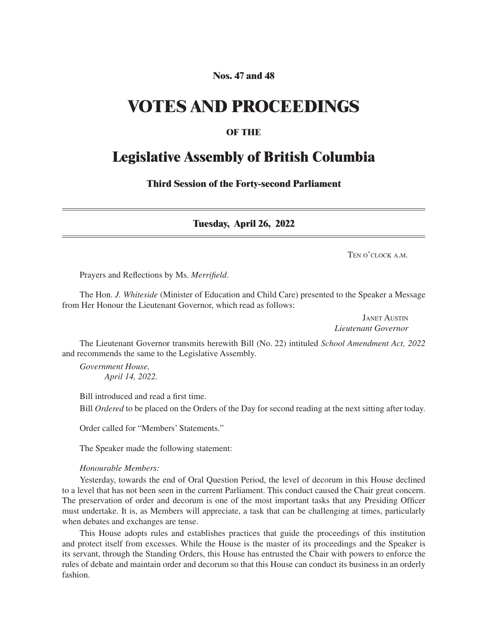## **Nos. 47 and 48**

# **VOTES AND PROCEEDINGS**

## **OF THE**

# **Legislative Assembly of British Columbia**

**Third Session of the Forty-second Parliament**

**Tuesday, April 26, 2022**

Ten o'clock a m

Prayers and Reflections by Ms. *Merrifield*.

The Hon. *J. Whiteside* (Minister of Education and Child Care) presented to the Speaker a Message from Her Honour the Lieutenant Governor, which read as follows:

> Janet Austin *Lieutenant Governor*

The Lieutenant Governor transmits herewith Bill (No. 22) intituled *School Amendment Act, 2022*  and recommends the same to the Legislative Assembly.

*Government House, April 14, 2022.*

Bill introduced and read a first time.

Bill *Ordered* to be placed on the Orders of the Day for second reading at the next sitting after today.

Order called for "Members' Statements."

The Speaker made the following statement:

#### *Honourable Members:*

Yesterday, towards the end of Oral Question Period, the level of decorum in this House declined to a level that has not been seen in the current Parliament. This conduct caused the Chair great concern. The preservation of order and decorum is one of the most important tasks that any Presiding Officer must undertake. It is, as Members will appreciate, a task that can be challenging at times, particularly when debates and exchanges are tense.

This House adopts rules and establishes practices that guide the proceedings of this institution and protect itself from excesses. While the House is the master of its proceedings and the Speaker is its servant, through the Standing Orders, this House has entrusted the Chair with powers to enforce the rules of debate and maintain order and decorum so that this House can conduct its business in an orderly fashion.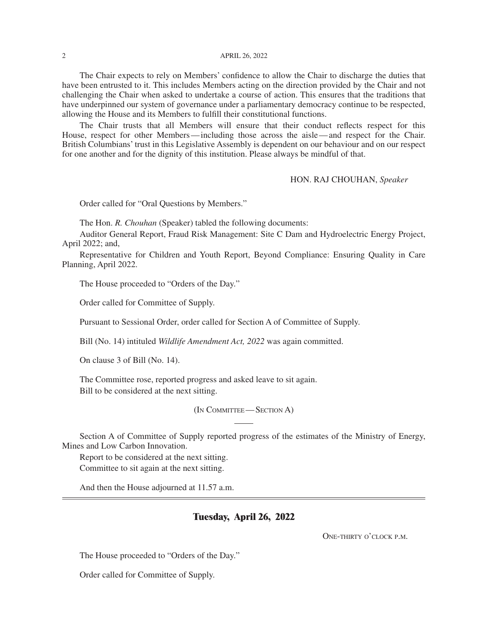The Chair expects to rely on Members' confidence to allow the Chair to discharge the duties that have been entrusted to it. This includes Members acting on the direction provided by the Chair and not challenging the Chair when asked to undertake a course of action. This ensures that the traditions that have underpinned our system of governance under a parliamentary democracy continue to be respected, allowing the House and its Members to fulfill their constitutional functions.

The Chair trusts that all Members will ensure that their conduct reflects respect for this House, respect for other Members—including those across the aisle—and respect for the Chair. British Columbians' trust in this Legislative Assembly is dependent on our behaviour and on our respect for one another and for the dignity of this institution. Please always be mindful of that.

HON. RAJ CHOUHAN, *Speaker*

Order called for "Oral Questions by Members."

The Hon. *R. Chouhan* (Speaker) tabled the following documents:

Auditor General Report, Fraud Risk Management: Site C Dam and Hydroelectric Energy Project, April 2022; and,

Representative for Children and Youth Report, Beyond Compliance: Ensuring Quality in Care Planning, April 2022.

The House proceeded to "Orders of the Day."

Order called for Committee of Supply.

Pursuant to Sessional Order, order called for Section A of Committee of Supply.

Bill (No. 14) intituled *Wildlife Amendment Act, 2022* was again committed.

On clause 3 of Bill (No. 14).

The Committee rose, reported progress and asked leave to sit again. Bill to be considered at the next sitting.

(In Committee— Section A)

Section A of Committee of Supply reported progress of the estimates of the Ministry of Energy, Mines and Low Carbon Innovation.

Report to be considered at the next sitting. Committee to sit again at the next sitting.

And then the House adjourned at 11.57 a.m.

#### **Tuesday, April 26, 2022**

One-thirty o'clock p.m.

The House proceeded to "Orders of the Day."

Order called for Committee of Supply.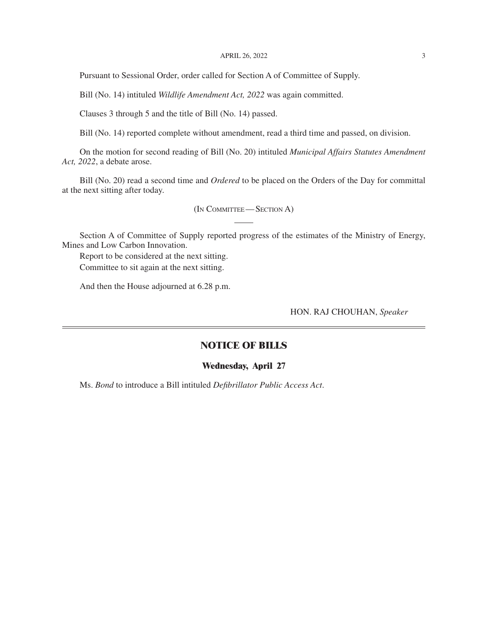#### APRIL 26, 2022 3

Pursuant to Sessional Order, order called for Section A of Committee of Supply.

Bill (No. 14) intituled *Wildlife Amendment Act, 2022* was again committed.

Clauses 3 through 5 and the title of Bill (No. 14) passed.

Bill (No. 14) reported complete without amendment, read a third time and passed, on division.

On the motion for second reading of Bill (No. 20) intituled *Municipal Affairs Statutes Amendment Act, 2022*, a debate arose.

Bill (No. 20) read a second time and *Ordered* to be placed on the Orders of the Day for committal at the next sitting after today.

(In Committee— Section A)

Section A of Committee of Supply reported progress of the estimates of the Ministry of Energy, Mines and Low Carbon Innovation.

Report to be considered at the next sitting. Committee to sit again at the next sitting.

And then the House adjourned at 6.28 p.m.

HON. RAJ CHOUHAN, *Speaker*

### **NOTICE OF BILLS**

#### **Wednesday, April 27**

Ms. *Bond* to introduce a Bill intituled *Defibrillator Public Access Act*.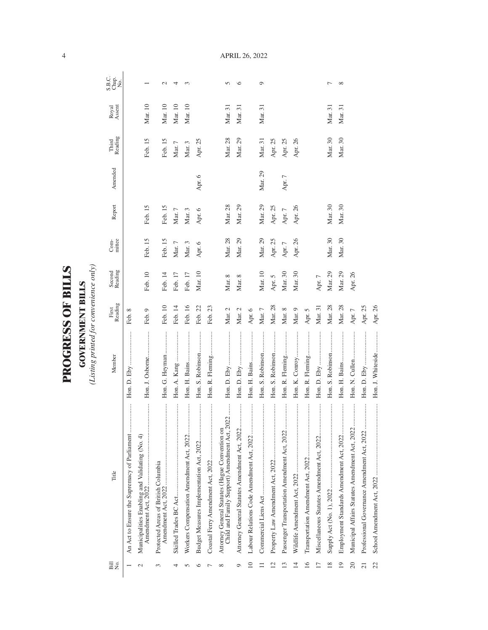| ١             |
|---------------|
|               |
| r<br>F        |
|               |
|               |
| $\frac{1}{2}$ |
|               |
|               |
| くこにく          |
|               |
|               |
|               |
|               |
|               |

**GOVERNMENT BILLS**<br>(Listing printed for convenience only) *(Listing printed for convenience only)*

**GOVERNMENT BILLS**

| Bill<br>No.              | Title                                                                                           | Member            | First<br>Reading | Second<br>Reading | mittee<br>$Com-$ | Report     | Amended    | Third<br>Reading | Royal<br>Assent | S.B.C.<br>Chap.<br>No. |
|--------------------------|-------------------------------------------------------------------------------------------------|-------------------|------------------|-------------------|------------------|------------|------------|------------------|-----------------|------------------------|
|                          | <br>An Act to Ensure the Supremacy of Parliament                                                |                   | Feb. 8           |                   |                  |            |            |                  |                 |                        |
| $\mathcal{C}$            | <br>Municipalities Enabling and Validating (No. 4)                                              | Hon. J. Osborne   | Feb. 9           | Feb. 10           | Feb. 15          | Feb. 15    |            | Feb. 15          | Mar. 10         |                        |
| 3                        | Protected Areas of British Columbia                                                             | Hon. G. Heyman    | Feb. 10          | Feb. 14           | Feb. 15          | Feb. 15    |            | Feb. 15          | Mar. 10         | $\mathbf{\sim}$        |
|                          |                                                                                                 |                   | Feb. 14          | Feb. 17           | Mar. $7\,$       | Mar. $7\,$ |            | Mar. $7\,$       | Mar. 10         | 4                      |
|                          |                                                                                                 |                   | Feb. 16          | Feb. 17           | Mar. 3           | Mar. 3     |            | Mar. 3           | Mar. 10         | 3                      |
|                          |                                                                                                 | Hon. S. Robinson  | Feb. 22          | Mar. $10$         | Apr. 6           | Apr. 6     | Apr. 6     | Apr. 25          |                 |                        |
|                          |                                                                                                 | Hon. R. Fleming   | Feb. 23          |                   |                  |            |            |                  |                 |                        |
| ∞                        | Child and Family Support) Amendment Act, 2022<br>Attorney General Statutes (Hague Convention on |                   | Mar. $2\,$       | Mar. $8$          | Mar. 28          | Mar. 28    |            | Mar. 28          | Mar. 31         | $\sqrt{2}$             |
| Φ                        | <br>Attorney General Statutes Amendment Act, 2022.                                              |                   | Mar. 2           | Mar. 8            | Mar. 29          | Mar. 29    |            | Mar. 29          | Mar. 31         | ७                      |
| $\overline{10}$          |                                                                                                 |                   | Apr. 6           |                   |                  |            |            |                  |                 |                        |
|                          |                                                                                                 | Hon. S. Robinson  | Mar. $7\,$       | Mar. 10           | Mar. 29          | Mar. 29    | Mar. 29    | Mar. 31          | Mar. 31         | ᡋ                      |
| $\overline{\mathcal{C}}$ |                                                                                                 | Hon. S. Robinson  | Mar. 28          | Apr. 5            | Apr. 25          | Apr. 25    |            | Apr. 25          |                 |                        |
| ≌                        |                                                                                                 | Hon. R. Fleming   | Mar. $8$         | Mar. 30           | Apr. $7\,$       | Apr. $7$   | Apr. $7\,$ | Apr. 25          |                 |                        |
| $\overline{4}$           |                                                                                                 | Hon. K. Conroy    | Mar. 9           | Mar. 30           | Apr. 26          | Apr. 26    |            | Apr. 26          |                 |                        |
| $\geq$                   |                                                                                                 | Hon. R. Fleming   | Apr. 5           |                   |                  |            |            |                  |                 |                        |
|                          |                                                                                                 |                   | Mar. 31          | Apr. $7$          |                  |            |            |                  |                 |                        |
| $\frac{8}{2}$            |                                                                                                 | Hon. S. Robinson  | Mar. 28          | Mar. 29           | Mar. 30          | Mar. 30    |            | Mar. 30          | Mar. 31         |                        |
| $\overline{19}$          |                                                                                                 |                   | Mar. 28          | Mar. 29           | Mar. 30          | Mar. 30    |            | Mar. 30          | Mar. 31         | ${}^{\circ}$           |
| $\overline{20}$          | Municipal Affairs Statutes Amendment Act, 2022                                                  |                   | Apr. $7$         | Apr. 26           |                  |            |            |                  |                 |                        |
| $\overline{21}$          |                                                                                                 |                   | Apr. 25          |                   |                  |            |            |                  |                 |                        |
| 22                       |                                                                                                 | Hon. J. Whiteside | Apr. 26          |                   |                  |            |            |                  |                 |                        |

April 26, 2022

4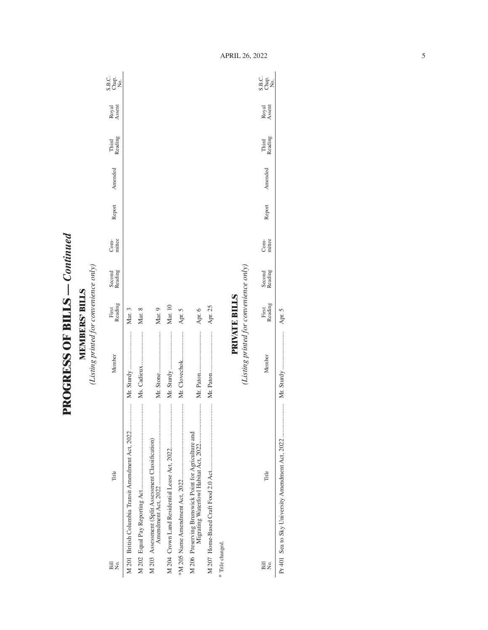**PROGRESS OF BILLS - Continued PROGRESS OF BILLS** *— Continued*

**MEMBERS' BILLS**<br>(Listing printed for convenience only) *(Listing printed for convenience only)* **MEMBERS' BILLS**

| Σó,<br>Bill                                          | Title                                              | Member                                 | Reading<br>First     | Second<br>Reading | mittee<br>Com- | Report | Amended | Reading<br>Third | Royal<br>Assent | C.<br>S.B.e.<br>S.B.e. |
|------------------------------------------------------|----------------------------------------------------|----------------------------------------|----------------------|-------------------|----------------|--------|---------|------------------|-----------------|------------------------|
|                                                      | M 201 British Columbia Transit Amendment Act, 2022 |                                        | Mar. 3               |                   |                |        |         |                  |                 |                        |
|                                                      |                                                    |                                        | Mar. 8               |                   |                |        |         |                  |                 |                        |
| M 203 Assessment (Split Assessment Classification)   |                                                    |                                        | Mar. 9               |                   |                |        |         |                  |                 |                        |
|                                                      |                                                    |                                        | Mar. 10              |                   |                |        |         |                  |                 |                        |
|                                                      |                                                    | Mr. Clovechok                          | Apr. 5               |                   |                |        |         |                  |                 |                        |
| M 206 Preserving Brunswick Point for Agriculture and |                                                    |                                        | Apr. 6               |                   |                |        |         |                  |                 |                        |
|                                                      |                                                    |                                        | Apr. 25              |                   |                |        |         |                  |                 |                        |
| * Title changed.                                     |                                                    |                                        |                      |                   |                |        |         |                  |                 |                        |
|                                                      |                                                    |                                        | <b>PRIVATE BILLS</b> |                   |                |        |         |                  |                 |                        |
|                                                      |                                                    | (Listing printed for convenience only) |                      |                   |                |        |         |                  |                 |                        |
| $\overline{B}$ ill<br>Σó,                            | Title                                              | Member                                 | Reading<br>First     | Second<br>Reading | mittee<br>Com- | Report | Amended | Third<br>Reading | Royal<br>Assent | ci<br>Sano<br>Xa       |

Pr 401 Sea to Sky University Amendment Act, 2022 ..................... Mr. Sturdy ........................ Apr. 5